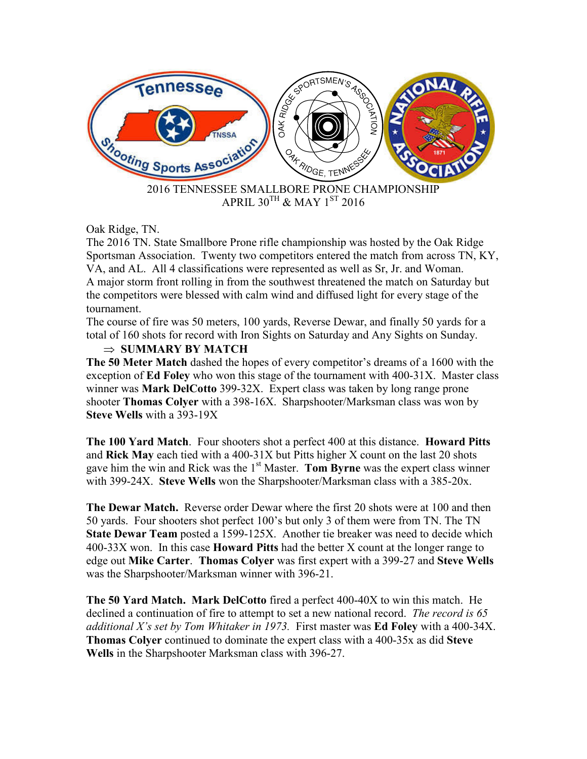

## Oak Ridge, TN.

The 2016 TN. State Smallbore Prone rifle championship was hosted by the Oak Ridge Sportsman Association. Twenty two competitors entered the match from across TN, KY, VA, and AL. All 4 classifications were represented as well as Sr, Jr. and Woman. A major storm front rolling in from the southwest threatened the match on Saturday but the competitors were blessed with calm wind and diffused light for every stage of the tournament.

The course of fire was 50 meters, 100 yards, Reverse Dewar, and finally 50 yards for a total of 160 shots for record with Iron Sights on Saturday and Any Sights on Sunday.

## ⇒ **SUMMARY BY MATCH**

**The 50 Meter Match** dashed the hopes of every competitor's dreams of a 1600 with the exception of **Ed Foley** who won this stage of the tournament with 400-31X. Master class winner was **Mark DelCotto** 399-32X. Expert class was taken by long range prone shooter **Thomas Colyer** with a 398-16X. Sharpshooter/Marksman class was won by **Steve Wells** with a 393-19X

**The 100 Yard Match**. Four shooters shot a perfect 400 at this distance. **Howard Pitts** and **Rick May** each tied with a 400-31X but Pitts higher X count on the last 20 shots gave him the win and Rick was the 1st Master. **Tom Byrne** was the expert class winner with 399-24X. **Steve Wells** won the Sharpshooter/Marksman class with a 385-20x.

**The Dewar Match.** Reverse order Dewar where the first 20 shots were at 100 and then 50 yards. Four shooters shot perfect 100's but only 3 of them were from TN. The TN **State Dewar Team** posted a 1599-125X. Another tie breaker was need to decide which 400-33X won. In this case **Howard Pitts** had the better X count at the longer range to edge out **Mike Carter**. **Thomas Colyer** was first expert with a 399-27 and **Steve Wells** was the Sharpshooter/Marksman winner with 396-21.

**The 50 Yard Match. Mark DelCotto** fired a perfect 400-40X to win this match. He declined a continuation of fire to attempt to set a new national record. *The record is 65 additional X's set by Tom Whitaker in 1973.* First master was **Ed Foley** with a 400-34X. **Thomas Colyer** continued to dominate the expert class with a 400-35x as did **Steve Wells** in the Sharpshooter Marksman class with 396-27.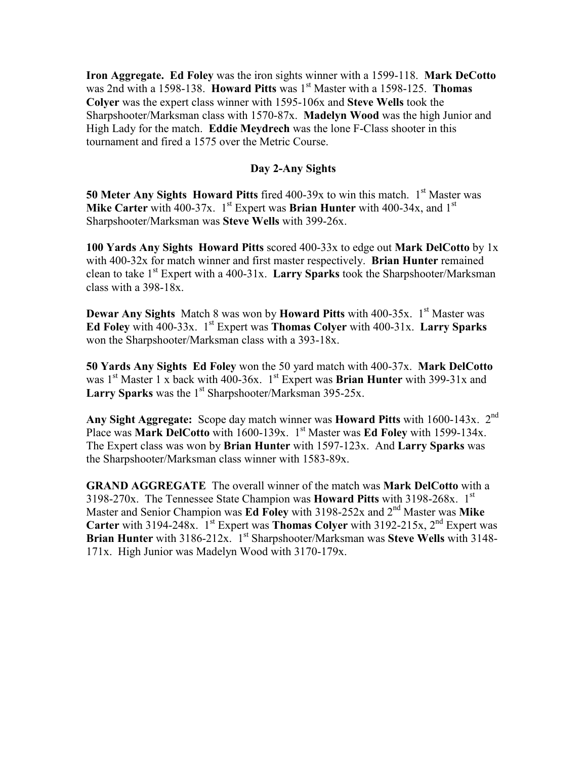**Iron Aggregate. Ed Foley** was the iron sights winner with a 1599-118. **Mark DeCotto** was 2nd with a 1598-138. **Howard Pitts** was 1<sup>st</sup> Master with a 1598-125. **Thomas Colyer** was the expert class winner with 1595-106x and **Steve Wells** took the Sharpshooter/Marksman class with 1570-87x. **Madelyn Wood** was the high Junior and High Lady for the match. **Eddie Meydrech** was the lone F-Class shooter in this tournament and fired a 1575 over the Metric Course.

## **Day 2-Any Sights**

**50 Meter Any Sights Howard Pitts** fired 400-39x to win this match. 1<sup>st</sup> Master was **Mike Carter** with 400-37x. 1<sup>st</sup> Expert was **Brian Hunter** with 400-34x, and 1<sup>st</sup> Sharpshooter/Marksman was **Steve Wells** with 399-26x.

**100 Yards Any Sights Howard Pitts** scored 400-33x to edge out **Mark DelCotto** by 1x with 400-32x for match winner and first master respectively. **Brian Hunter** remained clean to take  $1<sup>st</sup>$  Expert with a 400-31x. **Larry Sparks** took the Sharpshooter/Marksman class with a 398-18x.

**Dewar Any Sights** Match 8 was won by **Howard Pitts** with 400-35x. 1<sup>st</sup> Master was **Ed Foley** with 400-33x. 1st Expert was **Thomas Colyer** with 400-31x. **Larry Sparks** won the Sharpshooter/Marksman class with a 393-18x.

**50 Yards Any Sights Ed Foley** won the 50 yard match with 400-37x. **Mark DelCotto** was 1<sup>st</sup> Master 1 x back with 400-36x. 1<sup>st</sup> Expert was **Brian Hunter** with 399-31x and **Larry Sparks** was the  $1<sup>st</sup>$  Sharpshooter/Marksman 395-25x.

**Any Sight Aggregate:** Scope day match winner was **Howard Pitts** with 1600-143x. 2nd Place was **Mark DelCotto** with 1600-139x. 1<sup>st</sup> Master was **Ed Foley** with 1599-134x. The Expert class was won by **Brian Hunter** with 1597-123x. And **Larry Sparks** was the Sharpshooter/Marksman class winner with 1583-89x.

**GRAND AGGREGATE** The overall winner of the match was **Mark DelCotto** with a 3198-270x. The Tennessee State Champion was **Howard Pitts** with 3198-268x. 1st Master and Senior Champion was **Ed Foley** with 3198-252x and 2<sup>nd</sup> Master was Mike **Carter** with 3194-248x.  $1^{st}$  Expert was **Thomas Colver** with 3192-215x,  $2^{nd}$  Expert was **Brian Hunter** with 3186-212x. 1<sup>st</sup> Sharpshooter/Marksman was **Steve Wells** with 3148-171x. High Junior was Madelyn Wood with 3170-179x.